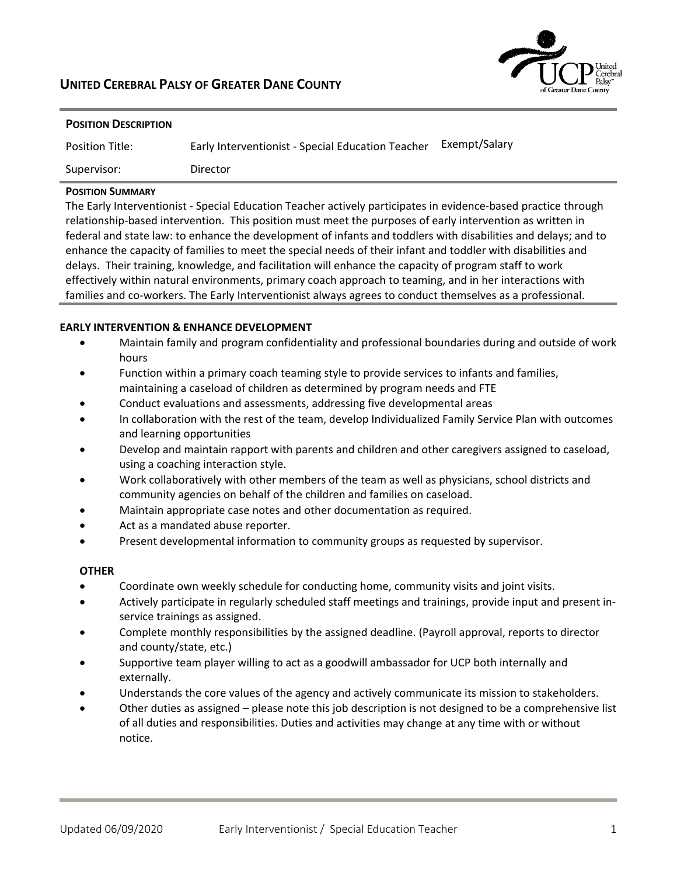# **UNITED CEREBRAL PALSY OF GREATER DANE COUNTY**



| <b>POSITION DESCRIPTION</b> |                                                   |               |
|-----------------------------|---------------------------------------------------|---------------|
| <b>Position Title:</b>      | Early Interventionist - Special Education Teacher | Exempt/Salary |
| Supervisor:                 | Director                                          |               |

## **POSITION SUMMARY**

The Early Interventionist ‐ Special Education Teacher actively participates in evidence‐based practice through relationship-based intervention. This position must meet the purposes of early intervention as written in federal and state law: to enhance the development of infants and toddlers with disabilities and delays; and to enhance the capacity of families to meet the special needs of their infant and toddler with disabilities and delays. Their training, knowledge, and facilitation will enhance the capacity of program staff to work effectively within natural environments, primary coach approach to teaming, and in her interactions with families and co-workers. The Early Interventionist always agrees to conduct themselves as a professional.

## **EARLY INTERVENTION & ENHANCE DEVELOPMENT**

- Maintain family and program confidentiality and professional boundaries during and outside of work hours
- Function within a primary coach teaming style to provide services to infants and families, maintaining a caseload of children as determined by program needs and FTE
- Conduct evaluations and assessments, addressing five developmental areas
- In collaboration with the rest of the team, develop Individualized Family Service Plan with outcomes and learning opportunities
- Develop and maintain rapport with parents and children and other caregivers assigned to caseload, using a coaching interaction style.
- Work collaboratively with other members of the team as well as physicians, school districts and community agencies on behalf of the children and families on caseload.
- Maintain appropriate case notes and other documentation as required.
- Act as a mandated abuse reporter.
- Present developmental information to community groups as requested by supervisor.

## **OTHER**

- Coordinate own weekly schedule for conducting home, community visits and joint visits.
- Actively participate in regularly scheduled staff meetings and trainings, provide input and present in‐ service trainings as assigned.
- Complete monthly responsibilities by the assigned deadline. (Payroll approval, reports to director and county/state, etc.)
- Supportive team player willing to act as a goodwill ambassador for UCP both internally and externally.
- Understands the core values of the agency and actively communicate its mission to stakeholders.
- Other duties as assigned please note this job description is not designed to be a comprehensive list of all duties and responsibilities. Duties and activities may change at any time with or without notice.